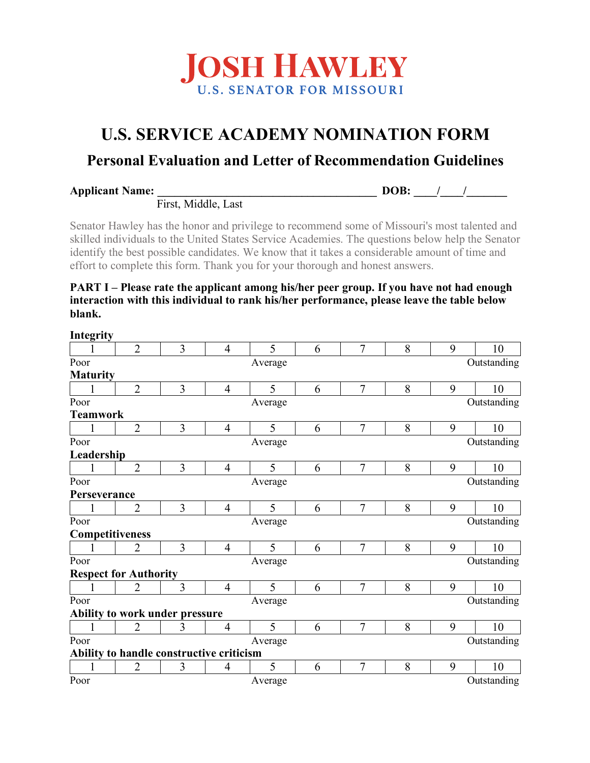

# **U.S. SERVICE ACADEMY NOMINATION FORM**

## **Personal Evaluation and Letter of Recommendation Guidelines**

| <b>Applicant Name:</b> |
|------------------------|
|------------------------|

**DOB:** / /

First, Middle, Last

Senator Hawley has the honor and privilege to recommend some of Missouri's most talented and skilled individuals to the United States Service Academies. The questions below help the Senator identify the best possible candidates. We know that it takes a considerable amount of time and effort to complete this form. Thank you for your thorough and honest answers.

### **PART I – Please rate the applicant among his/her peer group. If you have not had enough interaction with this individual to rank his/her performance, please leave the table below blank.**

| Integrity       |                              |                                          |                |         |   |                |   |             |             |
|-----------------|------------------------------|------------------------------------------|----------------|---------|---|----------------|---|-------------|-------------|
|                 | $\overline{2}$               | $\overline{3}$                           | $\overline{4}$ | 5       | 6 | $\overline{7}$ | 8 | 9           | 10          |
| Poor            |                              |                                          |                | Average |   |                |   |             | Outstanding |
| <b>Maturity</b> |                              |                                          |                |         |   |                |   |             |             |
|                 | $\overline{2}$               | 3                                        | $\overline{4}$ | 5       | 6 | $\overline{7}$ | 8 | 9           | 10          |
| Poor            |                              |                                          |                | Average |   |                |   |             | Outstanding |
| <b>Teamwork</b> |                              |                                          |                |         |   |                |   |             |             |
|                 | $\overline{2}$               | 3                                        | 4              | 5       | 6 | 7              | 8 | 9           | 10          |
| Poor            |                              |                                          |                | Average |   |                |   |             | Outstanding |
| Leadership      |                              |                                          |                |         |   |                |   |             |             |
|                 | $\overline{2}$               | $\overline{3}$                           | $\overline{4}$ | 5       | 6 | $\overline{7}$ | 8 | 9           | 10          |
| Poor            | Average                      |                                          |                |         |   |                |   | Outstanding |             |
| Perseverance    |                              |                                          |                |         |   |                |   |             |             |
|                 | $\overline{2}$               | 3                                        | $\overline{4}$ | 5       | 6 | $\overline{7}$ | 8 | 9           | 10          |
| Poor            |                              |                                          |                | Average |   |                |   |             | Outstanding |
| Competitiveness |                              |                                          |                |         |   |                |   |             |             |
|                 | $\overline{2}$               | 3                                        | $\overline{4}$ | 5       | 6 | $\overline{7}$ | 8 | 9           | 10          |
| Poor            |                              |                                          |                | Average |   |                |   |             | Outstanding |
|                 | <b>Respect for Authority</b> |                                          |                |         |   |                |   |             |             |
|                 | $\overline{2}$               | 3                                        | $\overline{4}$ | 5       | 6 | $\overline{7}$ | 8 | 9           | 10          |
| Poor            |                              | Average                                  |                |         |   |                |   | Outstanding |             |
|                 |                              | Ability to work under pressure           |                |         |   |                |   |             |             |
|                 | $\overline{2}$               | 3                                        | 4              | 5       | 6 | 7              | 8 | 9           | 10          |
| Poor            |                              |                                          |                | Average |   |                |   |             | Outstanding |
|                 |                              | Ability to handle constructive criticism |                |         |   |                |   |             |             |
|                 | $\overline{2}$               | 3                                        | $\overline{4}$ | 5       | 6 | 7              | 8 | 9           | 10          |
| Poor            |                              |                                          |                | Average |   |                |   |             | Outstanding |